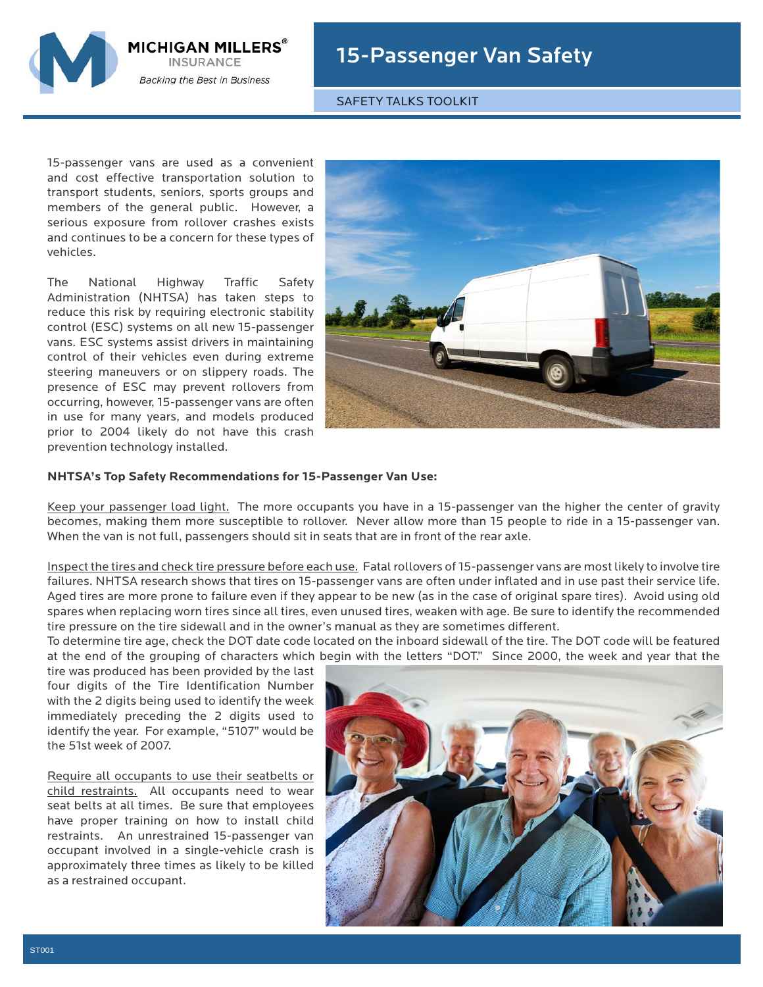

## 15-Passenger Van Safety

SAFETY TALKS TOOLKIT

15-passenger vans are used as a convenient and cost effective transportation solution to transport students, seniors, sports groups and members of the general public. However, a serious exposure from rollover crashes exists and continues to be a concern for these types of vehicles.

The National Highway Traffic Safety Administration (NHTSA) has taken steps to reduce this risk by requiring electronic stability control (ESC) systems on all new 15-passenger vans. ESC systems assist drivers in maintaining control of their vehicles even during extreme steering maneuvers or on slippery roads. The presence of ESC may prevent rollovers from occurring, however, 15-passenger vans are often in use for many years, and models produced prior to 2004 likely do not have this crash prevention technology installed.



## **NHTSA's Top Safety Recommendations for 15-Passenger Van Use:**

Keep your passenger load light. The more occupants you have in a 15-passenger van the higher the center of gravity becomes, making them more susceptible to rollover. Never allow more than 15 people to ride in a 15-passenger van. When the van is not full, passengers should sit in seats that are in front of the rear axle.

Inspect the tires and check tire pressure before each use. Fatal rollovers of 15-passenger vans are most likely to involve tire failures. NHTSA research shows that tires on 15-passenger vans are often under inflated and in use past their service life. Aged tires are more prone to failure even if they appear to be new (as in the case of original spare tires). Avoid using old spares when replacing worn tires since all tires, even unused tires, weaken with age. Be sure to identify the recommended tire pressure on the tire sidewall and in the owner's manual as they are sometimes different.

To determine tire age, check the DOT date code located on the inboard sidewall of the tire. The DOT code will be featured at the end of the grouping of characters which begin with the letters "DOT." Since 2000, the week and year that the

tire was produced has been provided by the last four digits of the Tire Identification Number with the 2 digits being used to identify the week immediately preceding the 2 digits used to identify the year. For example, "5107" would be the 51st week of 2007.

Require all occupants to use their seatbelts or child restraints. All occupants need to wear seat belts at all times. Be sure that employees have proper training on how to install child restraints. An unrestrained 15-passenger van occupant involved in a single-vehicle crash is approximately three times as likely to be killed as a restrained occupant.